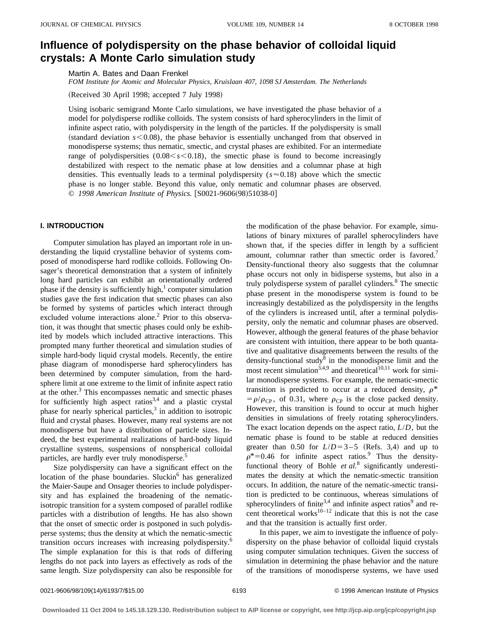# **Influence of polydispersity on the phase behavior of colloidal liquid crystals: A Monte Carlo simulation study**

Martin A. Bates and Daan Frenkel

*FOM Institute for Atomic and Molecular Physics, Kruislaan 407, 1098 SJ Amsterdam. The Netherlands*

(Received 30 April 1998; accepted 7 July 1998)

Using isobaric semigrand Monte Carlo simulations, we have investigated the phase behavior of a model for polydisperse rodlike colloids. The system consists of hard spherocylinders in the limit of infinite aspect ratio, with polydispersity in the length of the particles. If the polydispersity is small (standard deviation  $s$ <0.08), the phase behavior is essentially unchanged from that observed in monodisperse systems; thus nematic, smectic, and crystal phases are exhibited. For an intermediate range of polydispersities  $(0.08 \leq s \leq 0.18)$ , the smectic phase is found to become increasingly destabilized with respect to the nematic phase at low densities and a columnar phase at high densities. This eventually leads to a terminal polydispersity ( $s \approx 0.18$ ) above which the smectic phase is no longer stable. Beyond this value, only nematic and columnar phases are observed. © 1998 American Institute of Physics. [S0021-9606(98)51038-0]

### **I. INTRODUCTION**

Computer simulation has played an important role in understanding the liquid crystalline behavior of systems composed of monodisperse hard rodlike colloids. Following Onsager's theoretical demonstration that a system of infinitely long hard particles can exhibit an orientationally ordered phase if the density is sufficiently high, $\frac{1}{2}$  computer simulation studies gave the first indication that smectic phases can also be formed by systems of particles which interact through excluded volume interactions alone.<sup>2</sup> Prior to this observation, it was thought that smectic phases could only be exhibited by models which included attractive interactions. This prompted many further theoretical and simulation studies of simple hard-body liquid crystal models. Recently, the entire phase diagram of monodisperse hard spherocylinders has been determined by computer simulation, from the hardsphere limit at one extreme to the limit of infinite aspect ratio at the other.<sup>3</sup> This encompasses nematic and smectic phases for sufficiently high aspect ratios<sup>3,4</sup> and a plastic crystal phase for nearly spherical particles, $3$  in addition to isotropic fluid and crystal phases. However, many real systems are not monodisperse but have a distribution of particle sizes. Indeed, the best experimental realizations of hard-body liquid crystalline systems, suspensions of nonspherical colloidal particles, are hardly ever truly monodisperse.<sup>5</sup>

Size polydispersity can have a significant effect on the location of the phase boundaries. Sluckin $<sup>6</sup>$  has generalized</sup> the Maier-Saupe and Onsager theories to include polydispersity and has explained the broadening of the nematicisotropic transition for a system composed of parallel rodlike particles with a distribution of lengths. He has also shown that the onset of smectic order is postponed in such polydisperse systems; thus the density at which the nematic-smectic transition occurs increases with increasing polydispersity.<sup>6</sup> The simple explanation for this is that rods of differing lengths do not pack into layers as effectively as rods of the same length. Size polydispersity can also be responsible for

the modification of the phase behavior. For example, simulations of binary mixtures of parallel spherocylinders have shown that, if the species differ in length by a sufficient amount, columnar rather than smectic order is favored.<sup>7</sup> Density-functional theory also suggests that the columnar phase occurs not only in bidisperse systems, but also in a truly polydisperse system of parallel cylinders.<sup>8</sup> The smectic phase present in the monodisperse system is found to be increasingly destabilized as the polydispersity in the lengths of the cylinders is increased until, after a terminal polydispersity, only the nematic and columnar phases are observed. However, although the general features of the phase behavior are consistent with intuition, there appear to be both quantative and qualitative disagreements between the results of the density-functional study<sup>8</sup> in the monodisperse limit and the most recent simulation<sup>3,4,9</sup> and theoretical<sup>10,11</sup> work for similar monodisperse systems. For example, the nematic-smectic transition is predicted to occur at a reduced density,  $\rho^*$  $= \rho/\rho_{CP}$ , of 0.31, where  $\rho_{CP}$  is the close packed density. However, this transition is found to occur at much higher densities in simulations of freely rotating spherocylinders. The exact location depends on the aspect ratio, *L*/*D*, but the nematic phase is found to be stable at reduced densities greater than 0.50 for  $L/D = 3-5$  (Refs. 3,4) and up to  $\rho^*$ =0.46 for infinite aspect ratios.<sup>9</sup> Thus the densityfunctional theory of Bohle *et al.*<sup>8</sup> significantly underestimates the density at which the nematic-smectic transition occurs. In addition, the nature of the nematic-smectic transition is predicted to be continuous, whereas simulations of spherocylinders of finite<sup>3,4</sup> and infinite aspect ratios<sup>9</sup> and recent theoretical works $10^{-12}$  indicate that this is not the case and that the transition is actually first order.

In this paper, we aim to investigate the influence of polydispersity on the phase behavior of colloidal liquid crystals using computer simulation techniques. Given the success of simulation in determining the phase behavior and the nature of the transitions of monodisperse systems, we have used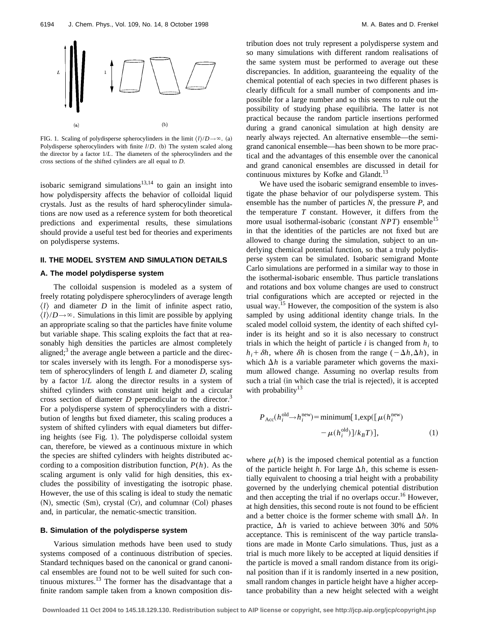

FIG. 1. Scaling of polydisperse spherocylinders in the limit  $\langle l \rangle/D \rightarrow \infty$ . (a) Polydisperse spherocylinders with finite  $l/D$ . (b) The system scaled along the director by a factor 1/*L*. The diameters of the spherocylinders and the cross sections of the shifted cylinders are all equal to *D*.

isobaric semigrand simulations<sup>13,14</sup> to gain an insight into how polydispersity affects the behavior of colloidal liquid crystals. Just as the results of hard spherocylinder simulations are now used as a reference system for both theoretical predictions and experimental results, these simulations should provide a useful test bed for theories and experiments on polydisperse systems.

#### **II. THE MODEL SYSTEM AND SIMULATION DETAILS**

#### **A. The model polydisperse system**

The colloidal suspension is modeled as a system of freely rotating polydispere spherocylinders of average length  $\langle l \rangle$  and diameter *D* in the limit of infinite aspect ratio,  $\langle l \rangle/D \rightarrow \infty$ . Simulations in this limit are possible by applying an appropriate scaling so that the particles have finite volume but variable shape. This scaling exploits the fact that at reasonably high densities the particles are almost completely aligned; $3$  the average angle between a particle and the director scales inversely with its length. For a monodisperse system of spherocylinders of length *L* and diameter *D*, scaling by a factor 1/*L* along the director results in a system of shifted cylinders with constant unit height and a circular cross section of diameter *D* perpendicular to the director.<sup>3</sup> For a polydisperse system of spherocylinders with a distribution of lengths but fixed diameter, this scaling produces a system of shifted cylinders with equal diameters but differing heights (see Fig. 1). The polydisperse colloidal system can, therefore, be viewed as a continuous mixture in which the species are shifted cylinders with heights distributed according to a composition distribution function, *P*(*h*). As the scaling argument is only valid for high densities, this excludes the possibility of investigating the isotropic phase. However, the use of this scaling is ideal to study the nematic  $(N)$ , smectic  $(Sm)$ , crystal  $(Cr)$ , and columnar  $(Col)$  phases and, in particular, the nematic-smectic transition.

#### **B. Simulation of the polydisperse system**

Various simulation methods have been used to study systems composed of a continuous distribution of species. Standard techniques based on the canonical or grand canonical ensembles are found not to be well suited for such continuous mixtures. $^{13}$  The former has the disadvantage that a finite random sample taken from a known composition distribution does not truly represent a polydisperse system and so many simulations with different random realisations of the same system must be performed to average out these discrepancies. In addition, guaranteeing the equality of the chemical potential of each species in two different phases is clearly difficult for a small number of components and impossible for a large number and so this seems to rule out the possibility of studying phase equilibria. The latter is not practical because the random particle insertions performed during a grand canonical simulation at high density are nearly always rejected. An alternative ensemble—the semigrand canonical ensemble—has been shown to be more practical and the advantages of this ensemble over the canonical and grand canonical ensembles are discussed in detail for continuous mixtures by Kofke and Glandt.<sup>13</sup>

We have used the isobaric semigrand ensemble to investigate the phase behavior of our polydisperse system. This ensemble has the number of particles *N*, the pressure *P*, and the temperature *T* constant. However, it differs from the more usual isothermal-isobaric (constant  $NPT$ ) ensemble<sup>15</sup> in that the identities of the particles are not fixed but are allowed to change during the simulation, subject to an underlying chemical potential function, so that a truly polydisperse system can be simulated. Isobaric semigrand Monte Carlo simulations are performed in a similar way to those in the isothermal-isobaric ensemble. Thus particle translations and rotations and box volume changes are used to construct trial configurations which are accepted or rejected in the usual way.<sup>15</sup> However, the composition of the system is also sampled by using additional identity change trials. In the scaled model colloid system, the identity of each shifted cylinder is its height and so it is also necessary to construct trials in which the height of particle  $i$  is changed from  $h_i$  to  $h_i + \delta h$ , where  $\delta h$  is chosen from the range ( $-\Delta h, \Delta h$ ), in which  $\Delta h$  is a variable parameter which governs the maximum allowed change. Assuming no overlap results from such a trial (in which case the trial is rejected), it is accepted with probability $13$ 

$$
P_{\text{Acc}}(h_i^{\text{old}} \to h_i^{\text{new}}) = \text{minimum} [1, \exp([\mu(h_i^{\text{new}})] - \mu(h_i^{\text{old}})]/k_B T)],
$$
\n
$$
- \mu(h_i^{\text{old}})]/k_B T],
$$
\n(1)

where  $\mu(h)$  is the imposed chemical potential as a function of the particle height *h*. For large  $\Delta h$ , this scheme is essentially equivalent to choosing a trial height with a probability governed by the underlying chemical potential distribution and then accepting the trial if no overlaps occur.<sup>16</sup> However, at high densities, this second route is not found to be efficient and a better choice is the former scheme with small  $\Delta h$ . In practice,  $\Delta h$  is varied to achieve between 30% and 50% acceptance. This is reminiscent of the way particle translations are made in Monte Carlo simulations. Thus, just as a trial is much more likely to be accepted at liquid densities if the particle is moved a small random distance from its original position than if it is randomly inserted in a new position, small random changes in particle height have a higher acceptance probability than a new height selected with a weight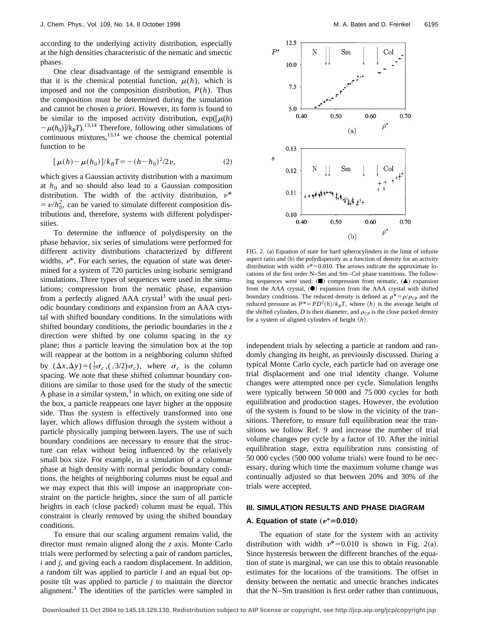according to the underlying activity distribution, especially at the high densities characteristic of the nematic and smectic phases.

One clear disadvantage of the semigrand ensemble is that it is the chemical potential function,  $\mu(h)$ , which is imposed and not the composition distribution, *P*(*h*). Thus the composition must be determined during the simulation and cannot be chosen *a priori*. However, its form is found to be similar to the imposed activity distribution,  $exp([\mu(h)$  $-\mu(h_0)/k_BT$ .<sup>13,14</sup> Therefore, following other simulations of continuous mixtures, $13,14$  we choose the chemical potential function to be

$$
[\mu(h) - \mu(h_0)]/k_B T = -(h - h_0)^2/2\nu,
$$
\n(2)

which gives a Gaussian activity distribution with a maximum at  $h_0$  and so should also lead to a Gaussian composition distribution. The width of the activity distribution,  $v^*$  $= \nu/h_0^2$ , can be varied to simulate different composition distributions and, therefore, systems with different polydispersities.

To determine the influence of polydispersity on the phase behavior, six series of simulations were performed for different activity distributions characterized by different widths,  $\nu^*$ . For each series, the equation of state was determined for a system of 720 particles using isobaric semigrand simulations. Three types of sequences were used in the simulations; compression from the nematic phase, expansion from a perfectly aligned  $AAA$  crystal<sup>3</sup> with the usual periodic boundary conditions and expansion from an AAA crystal with shifted boundary conditions. In the simulations with shifted boundary conditions, the periodic boundaries in the *z* direction were shifted by one column spacing in the *xy* plane; thus a particle leaving the simulation box at the top will reappear at the bottom in a neighboring column shifted by  $(\Delta x, \Delta y) = (\frac{1}{2}\sigma_c, (\sqrt{3}/2)\sigma_c)$ , where  $\sigma_c$  is the column spacing. We note that these shifted columnar boundary conditions are similar to those used for the study of the smectic A phase in a similar system, $3$  in which, on exiting one side of the box, a particle reappears one layer higher at the opposite side. Thus the system is effectively transformed into one layer, which allows diffusion through the system without a particle physically jumping between layers. The use of such boundary conditions are necessary to ensure that the structure can relax without being influenced by the relatively small box size. For example, in a simulation of a columnar phase at high density with normal periodic boundary conditions, the heights of neighboring columns must be equal and we may expect that this will impose an inappropriate constraint on the particle heights, since the sum of all particle heights in each (close packed) column must be equal. This constraint is clearly removed by using the shifted boundary conditions.

To ensure that our scaling argument remains valid, the director must remain aligned along the *z* axis. Monte Carlo trials were performed by selecting a pair of random particles, *i* and *j*, and giving each a random displacement. In addition, a random tilt was applied to particle *i* and an equal but opposite tilt was applied to particle *j* to maintain the director alignment. $3$  The identities of the particles were sampled in



FIG. 2. (a) Equation of state for hard spherocylinders in the limit of infinite aspect ratio and (b) the polydispersity as a function of density for an activity distribution with width  $v^*$ =0.010. The arrows indicate the approximate locations of the first order N–Sm and Sm–Col phase transitions. The following sequences were used:  $(\blacksquare)$  compression from nematic,  $(\blacktriangle)$  expansion from the AAA crystal,  $(①)$  expansion from the AAA crystal with shifted boundary conditions. The reduced density is defined as  $\rho^* = \rho/\rho_{CP}$  and the reduced pressure as  $P^* = PD^2\langle h \rangle / k_B T$ , where  $\langle h \rangle$  is the average height of the shifted cylinders, *D* is their diameter, and  $\rho_{CP}$  is the close packed density for a system of aligned cylinders of height  $\langle h \rangle$ .

independent trials by selecting a particle at random and randomly changing its height, as previously discussed. During a typical Monte Carlo cycle, each particle had on average one trial displacement and one trial identity change. Volume changes were attempted once per cycle. Simulation lengths were typically between 50 000 and 75 000 cycles for both equilibration and production stages. However, the evolution of the system is found to be slow in the vicinity of the transitions. Therefore, to ensure full equilibration near the transitions we follow Ref. 9 and increase the number of trial volume changes per cycle by a factor of 10. After the initial equilibration stage, extra equilibration runs consisting of  $50~000$  cycles  $(500~000$  volume trials) were found to be necessary, during which time the maximum volume change was continually adjusted so that between 20% and 30% of the trials were accepted.

#### **III. SIMULATION RESULTS AND PHASE DIAGRAM**

## **A. Equation of state**  $(\nu^* = 0.010)$

The equation of state for the system with an activity distribution with width  $v^* = 0.010$  is shown in Fig. 2(a). Since hysteresis between the different branches of the equation of state is marginal, we can use this to obtain reasonable estimates for the locations of the transitions. The offset in density between the nematic and smectic branches indicates that the N–Sm transition is first order rather than continuous,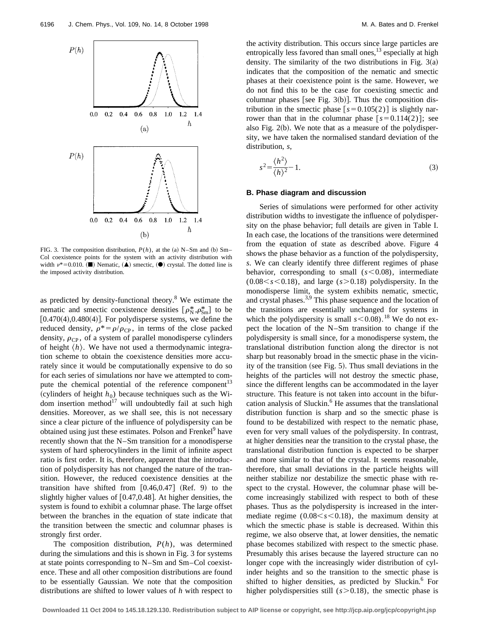

FIG. 3. The composition distribution,  $P(h)$ , at the (a) N–Sm and (b) Sm– Col coexistence points for the system with an activity distribution with width  $\nu^* = 0.010$ . ( $\blacksquare$ ) Nematic,  $(\blacktriangle)$  smectic,  $(\blacktriangle)$  crystal. The dotted line is the imposed activity distribution.

as predicted by density-functional theory.8 We estimate the nematic and smectic coexistence densities  $[\rho_N^*, \rho_{Sm}^*]$  to be  $[0.470(4),0.480(4)]$ . For polydisperse systems, we define the reduced density,  $\rho^* = \rho/\rho_{CP}$ , in terms of the close packed density,  $\rho_{CP}$ , of a system of parallel monodisperse cylinders of height  $\langle h \rangle$ . We have not used a thermodynamic integration scheme to obtain the coexistence densities more accurately since it would be computationally expensive to do so for each series of simulations nor have we attempted to compute the chemical potential of the reference component<sup>13</sup> (cylinders of height  $h_0$ ) because techniques such as the Widom insertion method $17$  will undoubtedly fail at such high densities. Moreover, as we shall see, this is not necessary since a clear picture of the influence of polydispersity can be obtained using just these estimates. Polson and Frenkel<sup>9</sup> have recently shown that the N–Sm transition for a monodisperse system of hard spherocylinders in the limit of infinite aspect ratio is first order. It is, therefore, apparent that the introduction of polydispersity has not changed the nature of the transition. However, the reduced coexistence densities at the transition have shifted from  $[0.46, 0.47]$  (Ref. 9) to the slightly higher values of  $[0.47,0.48]$ . At higher densities, the system is found to exhibit a columnar phase. The large offset between the branches in the equation of state indicate that the transition between the smectic and columnar phases is strongly first order.

The composition distribution, *P*(*h*), was determined during the simulations and this is shown in Fig. 3 for systems at state points corresponding to N–Sm and Sm–Col coexistence. These and all other composition distributions are found to be essentially Gaussian. We note that the composition distributions are shifted to lower values of *h* with respect to the activity distribution. This occurs since large particles are entropically less favored than small ones,  $^{13}$  especially at high density. The similarity of the two distributions in Fig.  $3(a)$ indicates that the composition of the nematic and smectic phases at their coexistence point is the same. However, we do not find this to be the case for coexisting smectic and columnar phases [see Fig.  $3(b)$ ]. Thus the composition distribution in the smectic phase  $[s=0.105(2)]$  is slightly narrower than that in the columnar phase  $[s=0.114(2)]$ ; see also Fig.  $2(b)$ . We note that as a measure of the polydispersity, we have taken the normalised standard deviation of the distribution, *s*,

$$
s^2 = \frac{\langle h^2 \rangle}{\langle h \rangle^2} - 1.
$$
 (3)

#### **B. Phase diagram and discussion**

Series of simulations were performed for other activity distribution widths to investigate the influence of polydispersity on the phase behavior; full details are given in Table I. In each case, the locations of the transitions were determined from the equation of state as described above. Figure 4 shows the phase behavior as a function of the polydispersity, *s*. We can clearly identify three different regimes of phase behavior, corresponding to small  $(s<0.08)$ , intermediate  $(0.08 < s < 0.18)$ , and large  $(s > 0.18)$  polydispersity. In the monodisperse limit, the system exhibits nematic, smectic, and crystal phases.<sup>3,9</sup> This phase sequence and the location of the transitions are essentially unchanged for systems in which the polydispersity is small  $s$ <0.08).<sup>18</sup> We do not expect the location of the N–Sm transition to change if the polydispersity is small since, for a monodisperse system, the translational distribution function along the director is not sharp but reasonably broad in the smectic phase in the vicinity of the transition (see Fig.  $5$ ). Thus small deviations in the heights of the particles will not destroy the smectic phase, since the different lengths can be accommodated in the layer structure. This feature is not taken into account in the bifurcation analysis of Sluckin. $<sup>6</sup>$  He assumes that the translational</sup> distribution function is sharp and so the smectic phase is found to be destabilized with respect to the nematic phase, even for very small values of the polydispersity. In contrast, at higher densities near the transition to the crystal phase, the translational distribution function is expected to be sharper and more similar to that of the crystal. It seems reasonable, therefore, that small deviations in the particle heights will neither stabilize nor destabilize the smectic phase with respect to the crystal. However, the columnar phase will become increasingly stabilized with respect to both of these phases. Thus as the polydispersity is increased in the intermediate regime  $(0.08 < s < 0.18)$ , the maximum density at which the smectic phase is stable is decreased. Within this regime, we also observe that, at lower densities, the nematic phase becomes stabilized with respect to the smectic phase. Presumably this arises because the layered structure can no longer cope with the increasingly wider distribution of cylinder heights and so the transition to the smectic phase is shifted to higher densities, as predicted by Sluckin. $6$  For higher polydispersities still  $(s>0.18)$ , the smectic phase is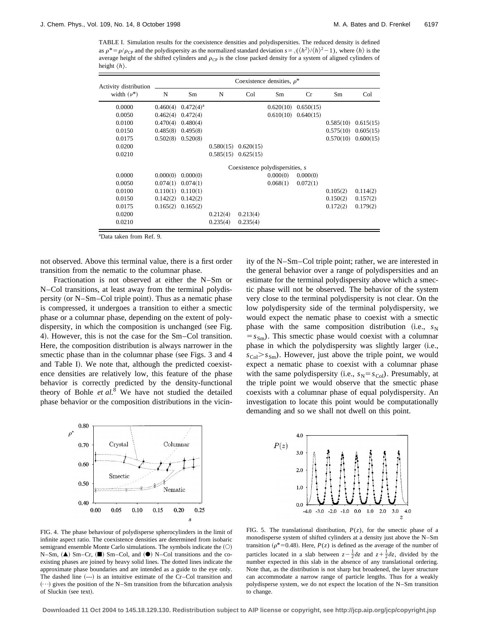TABLE I. Simulation results for the coexistence densities and polydispersities. The reduced density is defined as  $\rho^* = \rho/\rho_{CP}$  and the polydispersity as the normalized standard deviation  $s = \sqrt{\frac{h^2}{h^2 - 1}}$ , where  $\langle h \rangle$  is the average height of the shifted cylinders and  $\rho_{CP}$  is the close packed density for a system of aligned cylinders of height  $\langle h \rangle$ .

| Activity distribution<br>width $(\nu^*)$ | Coexistence densities, $\rho^*$ |              |                         |           |           |           |           |           |
|------------------------------------------|---------------------------------|--------------|-------------------------|-----------|-----------|-----------|-----------|-----------|
|                                          | N                               | Sm           | N                       | Col       | Sm        | Cr        | Sm        | Col       |
| 0.0000                                   | 0.460(4)                        | $0.472(4)^a$ |                         |           | 0.620(10) | 0.650(15) |           |           |
| 0.0050                                   | 0.462(4)                        | 0.472(4)     |                         |           | 0.610(10) | 0.640(15) |           |           |
| 0.0100                                   | 0.470(4)                        | 0.480(4)     |                         |           |           |           | 0.585(10) | 0.615(15) |
| 0.0150                                   | 0.485(8)                        | 0.495(8)     |                         |           |           |           | 0.575(10) | 0.605(15) |
| 0.0175                                   | 0.502(8)                        | 0.520(8)     |                         |           |           |           | 0.570(10) | 0.600(15) |
| 0.0200                                   |                                 |              | 0.580(15)               | 0.620(15) |           |           |           |           |
| 0.0210                                   |                                 |              | $0.585(15)$ $0.625(15)$ |           |           |           |           |           |
|                                          | Coexistence polydispersities, s |              |                         |           |           |           |           |           |
| 0.0000                                   | 0.000(0)                        | 0.000(0)     |                         |           | 0.000(0)  | 0.000(0)  |           |           |
| 0.0050                                   | 0.074(1)                        | 0.074(1)     |                         |           | 0.068(1)  | 0.072(1)  |           |           |
| 0.0100                                   | 0.110(1)                        | 0.110(1)     |                         |           |           |           | 0.105(2)  | 0.114(2)  |
| 0.0150                                   | 0.142(2)                        | 0.142(2)     |                         |           |           |           | 0.150(2)  | 0.157(2)  |
| 0.0175                                   | 0.165(2)                        | 0.165(2)     |                         |           |           |           | 0.172(2)  | 0.179(2)  |
| 0.0200                                   |                                 |              | 0.212(4)                | 0.213(4)  |           |           |           |           |
| 0.0210                                   |                                 |              | 0.235(4)                | 0.235(4)  |           |           |           |           |

a Data taken from Ref. 9.

not observed. Above this terminal value, there is a first order transition from the nematic to the columnar phase.

Fractionation is not observed at either the N–Sm or N–Col transitions, at least away from the terminal polydispersity (or  $N-Sm-Col$  triple point). Thus as a nematic phase is compressed, it undergoes a transition to either a smectic phase or a columnar phase, depending on the extent of polydispersity, in which the composition is unchanged (see Fig. 4). However, this is not the case for the Sm–Col transition. Here, the composition distribution is always narrower in the smectic phase than in the columnar phase (see Figs. 3 and 4 and Table I). We note that, although the predicted coexistence densities are relatively low, this feature of the phase behavior is correctly predicted by the density-functional theory of Bohle et al.<sup>8</sup> We have not studied the detailed phase behavior or the composition distributions in the vicinity of the N–Sm–Col triple point; rather, we are interested in the general behavior over a range of polydispersities and an estimate for the terminal polydispersity above which a smectic phase will not be observed. The behavior of the system very close to the terminal polydispersity is not clear. On the low polydispersity side of the terminal polydispersity, we would expect the nematic phase to coexist with a smectic phase with the same composition distribution (i.e.,  $s_N$  $= s_{\rm Sm}$ ). This smectic phase would coexist with a columnar phase in which the polydispersity was slightly larger (i.e.,  $s_{\text{Col}} > s_{\text{Sm}}$ ). However, just above the triple point, we would expect a nematic phase to coexist with a columnar phase with the same polydispersity (i.e.,  $s_N = s_{\text{Col}}$ ). Presumably, at the triple point we would observe that the smectic phase coexists with a columnar phase of equal polydispersity. An investigation to locate this point would be computationally demanding and so we shall not dwell on this point.





FIG. 4. The phase behaviour of polydisperse spherocylinders in the limit of infinite aspect ratio. The coexistence densities are determined from isobaric semigrand ensemble Monte Carlo simulations. The symbols indicate the  $(O)$  $N-Sm$ ,  $(\triangle)$  Sm–Cr,  $(\square)$  Sm–Col, and  $(\square)$  N–Col transitions and the coexisting phases are joined by heavy solid lines. The dotted lines indicate the approximate phase boundaries and are intended as a guide to the eye only. The dashed line  $(--)$  is an intuitive estimate of the Cr–Col transition and  $(\cdots)$  gives the position of the N–Sm transition from the bifurcation analysis of Sluckin (see text).

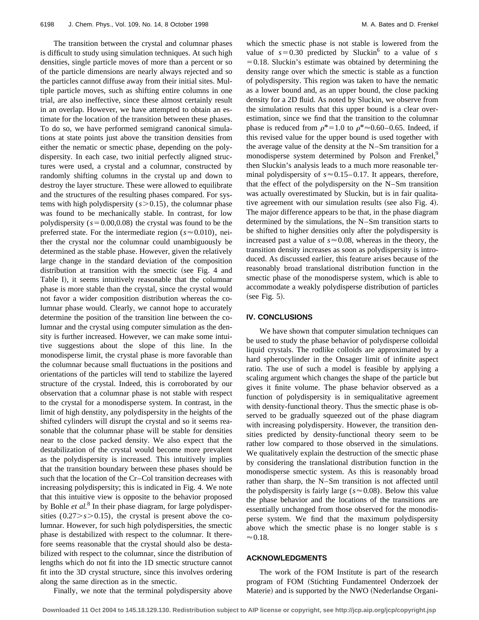The transition between the crystal and columnar phases is difficult to study using simulation techniques. At such high densities, single particle moves of more than a percent or so of the particle dimensions are nearly always rejected and so the particles cannot diffuse away from their initial sites. Multiple particle moves, such as shifting entire columns in one trial, are also ineffective, since these almost certainly result in an overlap. However, we have attempted to obtain an estimate for the location of the transition between these phases. To do so, we have performed semigrand canonical simulations at state points just above the transition densities from either the nematic or smectic phase, depending on the polydispersity. In each case, two initial perfectly aligned structures were used, a crystal and a columnar, constructed by randomly shifting columns in the crystal up and down to destroy the layer structure. These were allowed to equilibrate and the structures of the resulting phases compared. For systems with high polydispersity  $(s>0.15)$ , the columnar phase was found to be mechanically stable. In contrast, for low polydispersity  $(s=0.00,0.08)$  the crystal was found to be the preferred state. For the intermediate region ( $s \approx 0.010$ ), neither the crystal nor the columnar could unambiguously be determined as the stable phase. However, given the relatively large change in the standard deviation of the composition distribution at transition with the smectic (see Fig. 4 and Table I), it seems intuitively reasonable that the columnar phase is more stable than the crystal, since the crystal would not favor a wider composition distribution whereas the columnar phase would. Clearly, we cannot hope to accurately determine the position of the transition line between the columnar and the crystal using computer simulation as the density is further increased. However, we can make some intuitive suggestions about the slope of this line. In the monodisperse limit, the crystal phase is more favorable than the columnar because small fluctuations in the positions and orientations of the particles will tend to stabilize the layered structure of the crystal. Indeed, this is corroborated by our observation that a columnar phase is not stable with respect to the crystal for a monodisperse system. In contrast, in the limit of high denstity, any polydispersity in the heights of the shifted cylinders will disrupt the crystal and so it seems reasonable that the columnar phase will be stable for densities near to the close packed density. We also expect that the destabilization of the crystal would become more prevalent as the polydispersity is increased. This intuitively implies that the transition boundary between these phases should be such that the location of the Cr–Col transition decreases with increasing polydispersity; this is indicated in Fig. 4. We note that this intuitive view is opposite to the behavior proposed by Bohle *et al.*<sup>8</sup> In their phase diagram, for large polydispersities  $(0.27 > s > 0.15)$ , the crystal is present above the columnar. However, for such high polydispersities, the smectic phase is destabilized with respect to the columnar. It therefore seems reasonable that the crystal should also be destabilized with respect to the columnar, since the distribution of lengths which do not fit into the 1D smectic structure cannot fit into the 3D crystal structure, since this involves ordering along the same direction as in the smectic.

Finally, we note that the terminal polydispersity above

which the smectic phase is not stable is lowered from the value of  $s=0.30$  predicted by Sluckin<sup>6</sup> to a value of *s*  $=0.18$ . Sluckin's estimate was obtained by determining the density range over which the smectic is stable as a function of polydispersity. This region was taken to have the nematic as a lower bound and, as an upper bound, the close packing density for a 2D fluid. As noted by Sluckin, we observe from the simulation results that this upper bound is a clear overestimation, since we find that the transition to the columnar phase is reduced from  $\rho^*$ =1.0 to  $\rho^* \approx 0.60$ –0.65. Indeed, if this revised value for the upper bound is used together with the average value of the density at the N–Sm transition for a monodisperse system determined by Polson and Frenkel,<sup>9</sup> then Sluckin's analysis leads to a much more reasonable terminal polydispersity of  $s \approx 0.15 - 0.17$ . It appears, therefore, that the effect of the polydispersity on the N–Sm transition was actually overestimated by Sluckin, but is in fair qualitative agreement with our simulation results (see also Fig. 4). The major difference appears to be that, in the phase diagram determined by the simulations, the N–Sm transition starts to be shifted to higher densities only after the polydispersity is increased past a value of  $s \approx 0.08$ , whereas in the theory, the transition density increases as soon as polydispersity is introduced. As discussed earlier, this feature arises because of the reasonably broad translational distribution function in the smectic phase of the monodisperse system, which is able to accommodate a weakly polydisperse distribution of particles  $(see Fig. 5).$ 

#### **IV. CONCLUSIONS**

We have shown that computer simulation techniques can be used to study the phase behavior of polydisperse colloidal liquid crystals. The rodlike colloids are approximated by a hard spherocylinder in the Onsager limit of infinite aspect ratio. The use of such a model is feasible by applying a scaling argument which changes the shape of the particle but gives it finite volume. The phase behavior observed as a function of polydispersity is in semiqualitative agreement with density-functional theory. Thus the smectic phase is observed to be gradually squeezed out of the phase diagram with increasing polydispersity. However, the transition densities predicted by density-functional theory seem to be rather low compared to those observed in the simulations. We qualitatively explain the destruction of the smectic phase by considering the translational distribution function in the monodisperse smectic system. As this is reasonably broad rather than sharp, the N–Sm transition is not affected until the polydispersity is fairly large ( $s \approx 0.08$ ). Below this value the phase behavior and the locations of the transitions are essentially unchanged from those observed for the monodisperse system. We find that the maximum polydispersity above which the smectic phase is no longer stable is *s*  $\approx 0.18$ .

### **ACKNOWLEDGMENTS**

The work of the FOM Institute is part of the research program of FOM (Stichting Fundamenteel Onderzoek der Materie) and is supported by the NWO (Nederlandse Organi